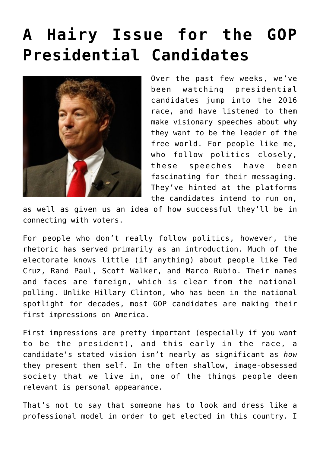## **[A Hairy Issue for the GOP](https://bernardgoldberg.com/a-hairy-issue-for-the-gop-presidential-candidates/) [Presidential Candidates](https://bernardgoldberg.com/a-hairy-issue-for-the-gop-presidential-candidates/)**



Over the past few weeks, we've been watching presidential candidates jump into the 2016 race, and have listened to them make visionary speeches about why they want to be the leader of the free world. For people like me, who follow politics closely, these speeches have been fascinating for their messaging. They've hinted at the platforms the candidates intend to run on,

as well as given us an idea of how successful they'll be in connecting with voters.

For people who don't really follow politics, however, the rhetoric has served primarily as an introduction. Much of the electorate knows little (if anything) about people like Ted Cruz, Rand Paul, Scott Walker, and Marco Rubio. Their names and faces are foreign, which is clear from the national polling. Unlike Hillary Clinton, who has been in the national spotlight for decades, most GOP candidates are making their first impressions on America.

First impressions are pretty important (especially if you want to be the president), and this early in the race, a candidate's stated vision isn't nearly as significant as *how* they present them self. In the often shallow, image-obsessed society that we live in, one of the things people deem relevant is personal appearance.

That's not to say that someone has to look and dress like a professional model in order to get elected in this country. I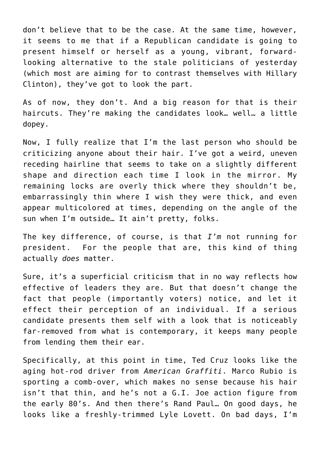don't believe that to be the case. At the same time, however, it seems to me that if a Republican candidate is going to present himself or herself as a young, vibrant, forwardlooking alternative to the stale politicians of yesterday (which most are aiming for to contrast themselves with Hillary Clinton), they've got to look the part.

As of now, they don't. And a big reason for that is their haircuts. They're making the candidates look… well… a little dopey.

Now, I fully realize that I'm the last person who should be criticizing anyone about their hair. I've got a weird, uneven receding hairline that seems to take on a slightly different shape and direction each time I look in the mirror. My remaining locks are overly thick where they shouldn't be, embarrassingly thin where I wish they were thick, and even appear multicolored at times, depending on the angle of the sun when I'm outside… It ain't pretty, folks.

The key difference, of course, is that *I'm* not running for president. For the people that are, this kind of thing actually *does* matter.

Sure, it's a superficial criticism that in no way reflects how effective of leaders they are. But that doesn't change the fact that people (importantly voters) notice, and let it effect their perception of an individual. If a serious candidate presents them self with a look that is noticeably far-removed from what is contemporary, it keeps many people from lending them their ear.

Specifically, at this point in time, Ted Cruz looks like the aging hot-rod driver from *American Graffiti*. Marco Rubio is sporting a comb-over, which makes no sense because his hair isn't that thin, and he's not a G.I. Joe action figure from the early 80's. And then there's Rand Paul… On good days, he looks like a freshly-trimmed Lyle Lovett. On bad days, I'm